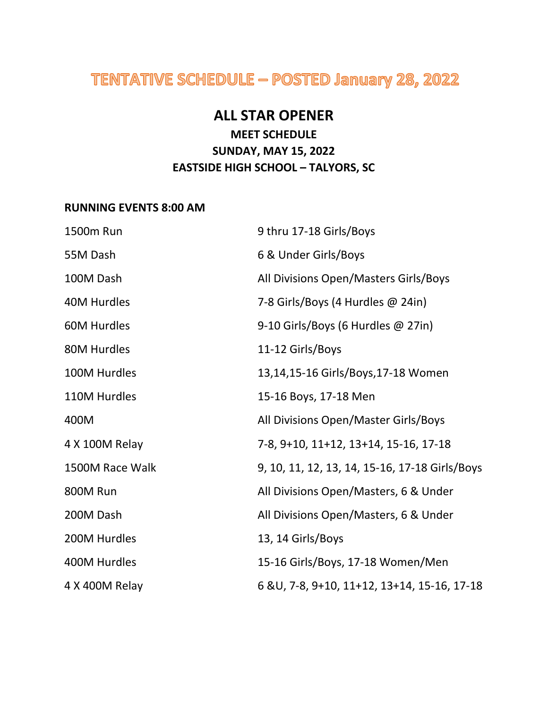# TENTATIVE SCHEDULE - POSTED January 28, 2022

### **ALL STAR OPENER**

### **MEET SCHEDULE SUNDAY, MAY 15, 2022 EASTSIDE HIGH SCHOOL – TALYORS, SC**

#### **RUNNING EVENTS 8:00 AM**

| 1500m Run          | 9 thru 17-18 Girls/Boys                        |
|--------------------|------------------------------------------------|
| 55M Dash           | 6 & Under Girls/Boys                           |
| 100M Dash          | All Divisions Open/Masters Girls/Boys          |
| 40M Hurdles        | 7-8 Girls/Boys (4 Hurdles @ 24in)              |
| <b>60M Hurdles</b> | 9-10 Girls/Boys (6 Hurdles @ 27in)             |
| 80M Hurdles        | 11-12 Girls/Boys                               |
| 100M Hurdles       | 13,14,15-16 Girls/Boys,17-18 Women             |
| 110M Hurdles       | 15-16 Boys, 17-18 Men                          |
| 400M               | All Divisions Open/Master Girls/Boys           |
| 4 X 100M Relay     | 7-8, 9+10, 11+12, 13+14, 15-16, 17-18          |
| 1500M Race Walk    | 9, 10, 11, 12, 13, 14, 15-16, 17-18 Girls/Boys |
| 800M Run           | All Divisions Open/Masters, 6 & Under          |
| 200M Dash          | All Divisions Open/Masters, 6 & Under          |
| 200M Hurdles       | 13, 14 Girls/Boys                              |
| 400M Hurdles       | 15-16 Girls/Boys, 17-18 Women/Men              |
| 4 X 400M Relay     | 6 & U, 7-8, 9+10, 11+12, 13+14, 15-16, 17-18   |